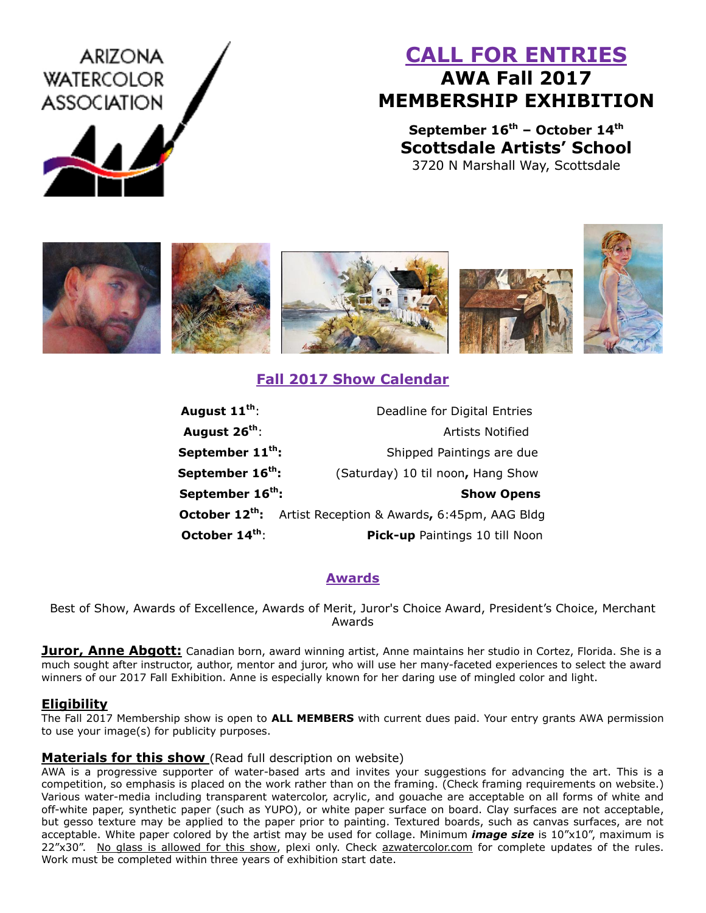# ARIZONA **WATERCOLOR ASSOCIATION**

# **CALL FOR ENTRIES AWA Fall 2017 MEMBERSHIP EXHIBITION**

**September 16th – October 14th Scottsdale Artists' School** 3720 N Marshall Way, Scottsdale



## **Fall 2017 Show Calendar**

| August 11 <sup>th</sup> :    | Deadline for Digital Entries                                           |
|------------------------------|------------------------------------------------------------------------|
| August 26 <sup>th</sup> :    | <b>Artists Notified</b>                                                |
| September 11 <sup>th</sup> : | Shipped Paintings are due                                              |
| September 16 <sup>th</sup> : | (Saturday) 10 til noon, Hang Show                                      |
| September 16 <sup>th</sup> : | <b>Show Opens</b>                                                      |
|                              | October 12 <sup>th</sup> : Artist Reception & Awards, 6:45pm, AAG Bldg |
| October 14th:                | <b>Pick-up</b> Paintings 10 till Noon                                  |

### **Awards**

Best of Show, Awards of Excellence, Awards of Merit, Juror's Choice Award, President's Choice, Merchant Awards

**Juror, Anne Abgott:** Canadian born, award winning artist, Anne maintains her studio in Cortez, Florida. She is a much sought after instructor, author, mentor and juror, who will use her many-faceted experiences to select the award winners of our 2017 Fall Exhibition. Anne is especially known for her daring use of mingled color and light.

#### **Eligibility**

The Fall 2017 Membership show is open to **ALL MEMBERS** with current dues paid. Your entry grants AWA permission to use your image(s) for publicity purposes.

#### **Materials for this show** (Read full description on website)

AWA is a progressive supporter of water-based arts and invites your suggestions for advancing the art. This is a competition, so emphasis is placed on the work rather than on the framing. (Check framing requirements on website.) Various water-media including transparent watercolor, acrylic, and gouache are acceptable on all forms of white and off-white paper, synthetic paper (such as YUPO), or white paper surface on board. Clay surfaces are not acceptable, but gesso texture may be applied to the paper prior to painting. Textured boards, such as canvas surfaces, are not acceptable. White paper colored by the artist may be used for collage. Minimum *image size* is 10"x10", maximum is 22"x30". No glass is allowed for this show, plexi only. Check azwatercolor.com for complete updates of the rules. Work must be completed within three years of exhibition start date.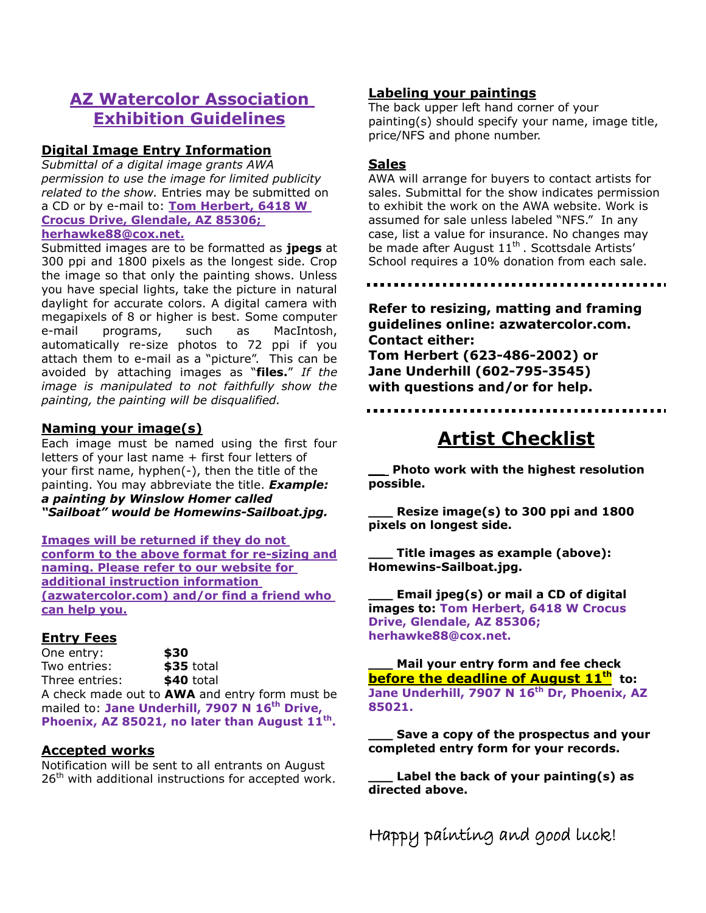## **AZ Watercolor Association Exhibition Guidelines**

#### **Digital Image Entry Information**

*Submittal of a digital image grants AWA permission to use the image for limited publicity related to the show.* Entries may be submitted on a CD or by e-mail to: **Tom Herbert, 6418 W Crocus Drive, Glendale, AZ 85306; herhawke88@cox.net.**

Submitted images are to be formatted as **jpegs** at 300 ppi and 1800 pixels as the longest side. Crop the image so that only the painting shows. Unless you have special lights, take the picture in natural daylight for accurate colors. A digital camera with megapixels of 8 or higher is best. Some computer e-mail programs, such as MacIntosh, automatically re-size photos to 72 ppi if you attach them to e-mail as a "picture". This can be avoided by attaching images as "**files.**" *If the image is manipulated to not faithfully show the painting, the painting will be disqualified.*

#### **Naming your image(s)**

Each image must be named using the first four letters of your last name + first four letters of your first name, hyphen(-), then the title of the painting. You may abbreviate the title. *Example: a painting by Winslow Homer called "Sailboat" would be Homewins-Sailboat.jpg.*

**Images will be returned if they do not conform to the above format for re-sizing and naming. Please refer to our website for additional instruction information (azwatercolor.com) and/or find a friend who can help you.**

#### **Entry Fees**

One entry: **\$30** Two entries: **\$35** total Three entries: **\$40** total

A check made out to **AWA** and entry form must be mailed to: **Jane Underhill, 7907 N 16th Drive, Phoenix, AZ 85021, no later than August 11th .**

#### **Accepted works**

Notification will be sent to all entrants on August  $26<sup>th</sup>$  with additional instructions for accepted work.

#### **Labeling your paintings**

The back upper left hand corner of your painting(s) should specify your name, image title, price/NFS and phone number.

#### **Sales**

AWA will arrange for buyers to contact artists for sales. Submittal for the show indicates permission to exhibit the work on the AWA website. Work is assumed for sale unless labeled "NFS." In any case, list a value for insurance. No changes may be made after August 11<sup>th</sup>. Scottsdale Artists' School requires a 10% donation from each sale.

**Refer to resizing, matting and framing guidelines online: azwatercolor.com. Contact either: Tom Herbert (623-486-2002) or Jane Underhill (602-795-3545) with questions and/or for help.**

# **Artist Checklist**

**\_\_ Photo work with the highest resolution possible.** 

**\_\_\_ Resize image(s) to 300 ppi and 1800 pixels on longest side.** 

**\_\_\_ Title images as example (above): Homewins-Sailboat.jpg.**

**\_\_\_ Email jpeg(s) or mail a CD of digital images to: Tom Herbert, 6418 W Crocus Drive, Glendale, AZ 85306; herhawke88@cox.net.**

**\_\_\_ Mail your entry form and fee check before the deadline of August 11th to: Jane Underhill, 7907 N 16th Dr, Phoenix, AZ 85021.**

**\_\_\_ Save a copy of the prospectus and your completed entry form for your records.**

**\_\_\_ Label the back of your painting(s) as directed above.**

Happy painting and good luck!